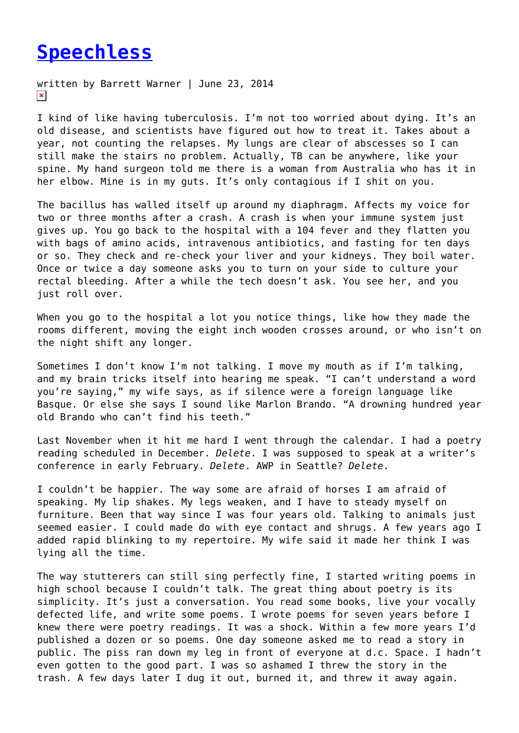## **[Speechless](https://entropymag.org/speechless/)**

written by Barrett Warner | June 23, 2014  $\pmb{\times}$ 

I kind of like having tuberculosis. I'm not too worried about dying. It's an old disease, and scientists have figured out how to treat it. Takes about a year, not counting the relapses. My lungs are clear of abscesses so I can still make the stairs no problem. Actually, TB can be anywhere, like your spine. My hand surgeon told me there is a woman from Australia who has it in her elbow. Mine is in my guts. It's only contagious if I shit on you.

The bacillus has walled itself up around my diaphragm. Affects my voice for two or three months after a crash. A crash is when your immune system just gives up. You go back to the hospital with a 104 fever and they flatten you with bags of amino acids, intravenous antibiotics, and fasting for ten days or so. They check and re-check your liver and your kidneys. They boil water. Once or twice a day someone asks you to turn on your side to culture your rectal bleeding. After a while the tech doesn't ask. You see her, and you just roll over.

When you go to the hospital a lot you notice things, like how they made the rooms different, moving the eight inch wooden crosses around, or who isn't on the night shift any longer.

Sometimes I don't know I'm not talking. I move my mouth as if I'm talking, and my brain tricks itself into hearing me speak. "I can't understand a word you're saying," my wife says, as if silence were a foreign language like Basque. Or else she says I sound like Marlon Brando. "A drowning hundred year old Brando who can't find his teeth."

Last November when it hit me hard I went through the calendar. I had a poetry reading scheduled in December. *Delete*. I was supposed to speak at a writer's conference in early February. *Delete*. AWP in Seattle? *Delete*.

I couldn't be happier. The way some are afraid of horses I am afraid of speaking. My lip shakes. My legs weaken, and I have to steady myself on furniture. Been that way since I was four years old. Talking to animals just seemed easier. I could made do with eye contact and shrugs. A few years ago I added rapid blinking to my repertoire. My wife said it made her think I was lying all the time.

The way stutterers can still sing perfectly fine, I started writing poems in high school because I couldn't talk. The great thing about poetry is its simplicity. It's just a conversation. You read some books, live your vocally defected life, and write some poems. I wrote poems for seven years before I knew there were poetry readings. It was a shock. Within a few more years I'd published a dozen or so poems. One day someone asked me to read a story in public. The piss ran down my leg in front of everyone at d.c. Space. I hadn't even gotten to the good part. I was so ashamed I threw the story in the trash. A few days later I dug it out, burned it, and threw it away again.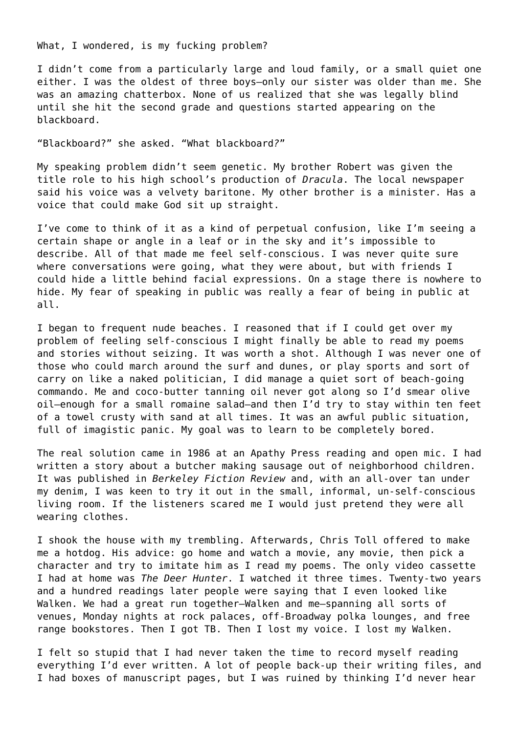What, I wondered, is my fucking problem?

I didn't come from a particularly large and loud family, or a small quiet one either. I was the oldest of three boys–only our sister was older than me. She was an amazing chatterbox. None of us realized that she was legally blind until she hit the second grade and questions started appearing on the blackboard.

"Blackboard?" she asked. "What blackboard*?*"

My speaking problem didn't seem genetic. My brother Robert was given the title role to his high school's production of *Dracula*. The local newspaper said his voice was a velvety baritone. My other brother is a minister. Has a voice that could make God sit up straight.

I've come to think of it as a kind of perpetual confusion, like I'm seeing a certain shape or angle in a leaf or in the sky and it's impossible to describe. All of that made me feel self-conscious. I was never quite sure where conversations were going, what they were about, but with friends I could hide a little behind facial expressions. On a stage there is nowhere to hide. My fear of speaking in public was really a fear of being in public at all.

I began to frequent nude beaches. I reasoned that if I could get over my problem of feeling self-conscious I might finally be able to read my poems and stories without seizing. It was worth a shot. Although I was never one of those who could march around the surf and dunes, or play sports and sort of carry on like a naked politician, I did manage a quiet sort of beach-going commando. Me and coco-butter tanning oil never got along so I'd smear olive oil—enough for a small romaine salad—and then I'd try to stay within ten feet of a towel crusty with sand at all times. It was an awful public situation, full of imagistic panic. My goal was to learn to be completely bored.

The real solution came in 1986 at an Apathy Press reading and open mic. I had written a story about a butcher making sausage out of neighborhood children. It was published in *Berkeley Fiction Review* and, with an all-over tan under my denim, I was keen to try it out in the small, informal, un-self-conscious living room. If the listeners scared me I would just pretend they were all wearing clothes.

I shook the house with my trembling. Afterwards, Chris Toll offered to make me a hotdog. His advice: go home and watch a movie, any movie, then pick a character and try to imitate him as I read my poems. The only video cassette I had at home was *The Deer Hunter*. I watched it three times. Twenty-two years and a hundred readings later people were saying that I even looked like Walken. We had a great run together—Walken and me—spanning all sorts of venues, Monday nights at rock palaces, off-Broadway polka lounges, and free range bookstores. Then I got TB. Then I lost my voice. I lost my Walken.

I felt so stupid that I had never taken the time to record myself reading everything I'd ever written. A lot of people back-up their writing files, and I had boxes of manuscript pages, but I was ruined by thinking I'd never hear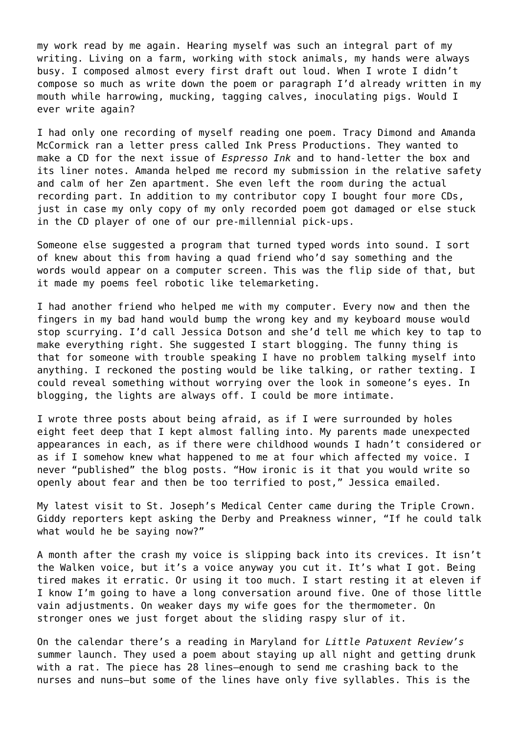my work read by me again. Hearing myself was such an integral part of my writing. Living on a farm, working with stock animals, my hands were always busy. I composed almost every first draft out loud. When I wrote I didn't compose so much as write down the poem or paragraph I'd already written in my mouth while harrowing, mucking, tagging calves, inoculating pigs. Would I ever write again?

I had only one recording of myself reading one poem. Tracy Dimond and Amanda McCormick ran a letter press called Ink Press Productions. They wanted to make a CD for the next issue of *Espresso Ink* and to hand-letter the box and its liner notes. Amanda helped me record my submission in the relative safety and calm of her Zen apartment. She even left the room during the actual recording part. In addition to my contributor copy I bought four more CDs, just in case my only copy of my only recorded poem got damaged or else stuck in the CD player of one of our pre-millennial pick-ups.

Someone else suggested a program that turned typed words into sound. I sort of knew about this from having a quad friend who'd say something and the words would appear on a computer screen. This was the flip side of that, but it made my poems feel robotic like telemarketing.

I had another friend who helped me with my computer. Every now and then the fingers in my bad hand would bump the wrong key and my keyboard mouse would stop scurrying. I'd call Jessica Dotson and she'd tell me which key to tap to make everything right. She suggested I start blogging. The funny thing is that for someone with trouble speaking I have no problem talking myself into anything. I reckoned the posting would be like talking, or rather texting. I could reveal something without worrying over the look in someone's eyes. In blogging, the lights are always off. I could be more intimate.

I wrote three posts about being afraid, as if I were surrounded by holes eight feet deep that I kept almost falling into. My parents made unexpected appearances in each, as if there were childhood wounds I hadn't considered or as if I somehow knew what happened to me at four which affected my voice. I never "published" the blog posts. "How ironic is it that you would write so openly about fear and then be too terrified to post," Jessica emailed.

My latest visit to St. Joseph's Medical Center came during the Triple Crown. Giddy reporters kept asking the Derby and Preakness winner, "If he could talk what would he be saying now?"

A month after the crash my voice is slipping back into its crevices. It isn't the Walken voice, but it's a voice anyway you cut it. It's what I got. Being tired makes it erratic. Or using it too much. I start resting it at eleven if I know I'm going to have a long conversation around five. One of those little vain adjustments. On weaker days my wife goes for the thermometer. On stronger ones we just forget about the sliding raspy slur of it.

On the calendar there's a reading in Maryland for *Little Patuxent Review's* summer launch. They used a poem about staying up all night and getting drunk with a rat. The piece has 28 lines—enough to send me crashing back to the nurses and nuns—but some of the lines have only five syllables. This is the